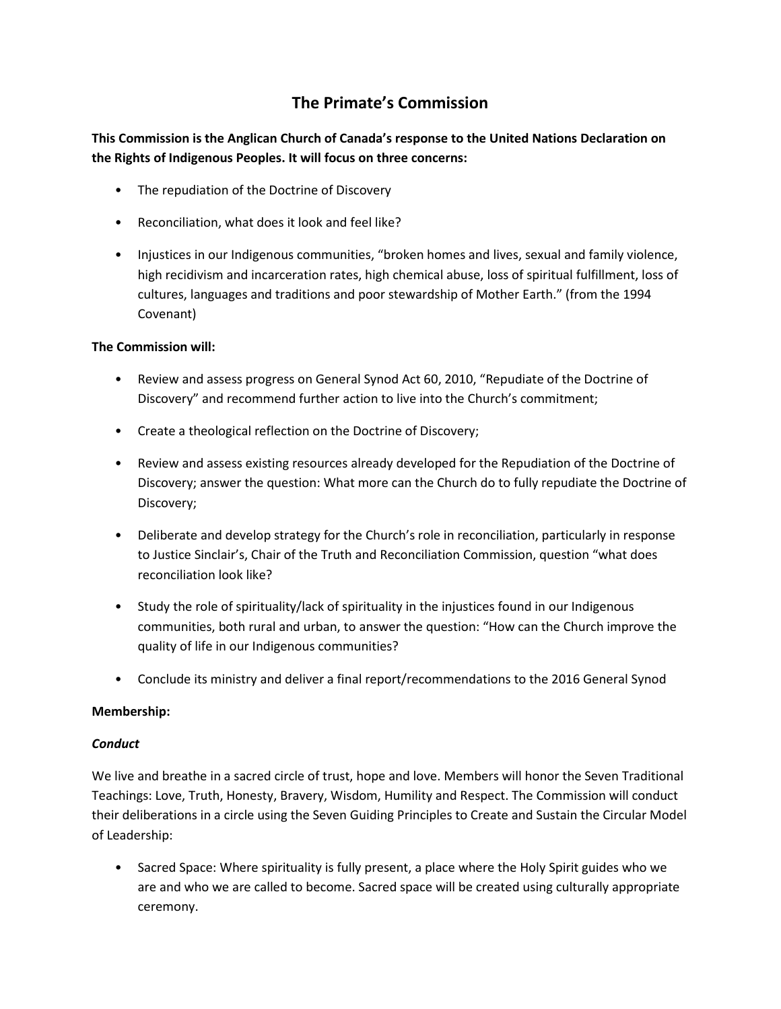# **The Primate's Commission**

**This Commission is the Anglican Church of Canada's response to the United Nations Declaration on the Rights of Indigenous Peoples. It will focus on three concerns:**

- The repudiation of the Doctrine of Discovery
- Reconciliation, what does it look and feel like?
- Injustices in our Indigenous communities, "broken homes and lives, sexual and family violence, high recidivism and incarceration rates, high chemical abuse, loss of spiritual fulfillment, loss of cultures, languages and traditions and poor stewardship of Mother Earth." (from the 1994 Covenant)

## **The Commission will:**

- Review and assess progress on General Synod Act 60, 2010, "Repudiate of the Doctrine of Discovery" and recommend further action to live into the Church's commitment;
- Create a theological reflection on the Doctrine of Discovery;
- Review and assess existing resources already developed for the Repudiation of the Doctrine of Discovery; answer the question: What more can the Church do to fully repudiate the Doctrine of Discovery;
- Deliberate and develop strategy for the Church's role in reconciliation, particularly in response to Justice Sinclair's, Chair of the Truth and Reconciliation Commission, question "what does reconciliation look like?
- Study the role of spirituality/lack of spirituality in the injustices found in our Indigenous communities, both rural and urban, to answer the question: "How can the Church improve the quality of life in our Indigenous communities?
- Conclude its ministry and deliver a final report/recommendations to the 2016 General Synod

### **Membership:**

### *Conduct*

We live and breathe in a sacred circle of trust, hope and love. Members will honor the Seven Traditional Teachings: Love, Truth, Honesty, Bravery, Wisdom, Humility and Respect. The Commission will conduct their deliberations in a circle using the Seven Guiding Principles to Create and Sustain the Circular Model of Leadership:

• Sacred Space: Where spirituality is fully present, a place where the Holy Spirit guides who we are and who we are called to become. Sacred space will be created using culturally appropriate ceremony.